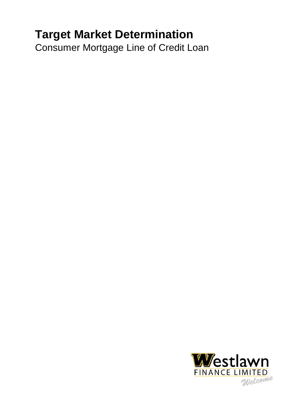# **Target Market Determination**

Consumer Mortgage Line of Credit Loan

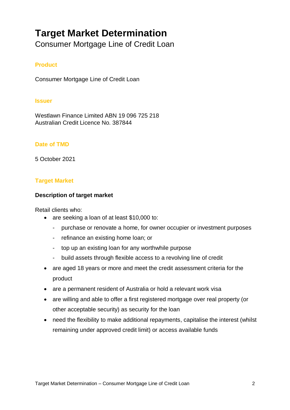# **Target Market Determination**

Consumer Mortgage Line of Credit Loan

# **Product**

Consumer Mortgage Line of Credit Loan

#### **Issuer**

Westlawn Finance Limited ABN 19 096 725 218 Australian Credit Licence No. 387844

## **Date of TMD**

5 October 2021

## **Target Market**

## **Description of target market**

Retail clients who:

- are seeking a loan of at least \$10,000 to:
	- purchase or renovate a home, for owner occupier or investment purposes
	- refinance an existing home loan; or
	- top up an existing loan for any worthwhile purpose
	- build assets through flexible access to a revolving line of credit
- are aged 18 years or more and meet the credit assessment criteria for the product
- are a permanent resident of Australia or hold a relevant work visa
- are willing and able to offer a first registered mortgage over real property (or other acceptable security) as security for the loan
- need the flexibility to make additional repayments, capitalise the interest (whilst remaining under approved credit limit) or access available funds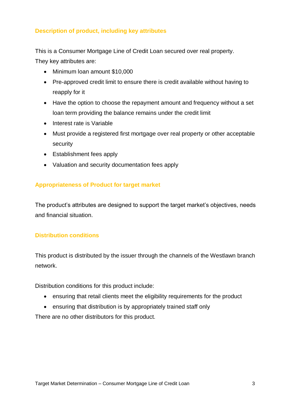# **Description of product, including key attributes**

This is a Consumer Mortgage Line of Credit Loan secured over real property. They key attributes are:

- Minimum loan amount \$10,000
- Pre-approved credit limit to ensure there is credit available without having to reapply for it
- Have the option to choose the repayment amount and frequency without a set loan term providing the balance remains under the credit limit
- Interest rate is Variable
- Must provide a registered first mortgage over real property or other acceptable security
- Establishment fees apply
- Valuation and security documentation fees apply

## **Appropriateness of Product for target market**

The product's attributes are designed to support the target market's objectives, needs and financial situation.

# **Distribution conditions**

This product is distributed by the issuer through the channels of the Westlawn branch network.

Distribution conditions for this product include:

- ensuring that retail clients meet the eligibility requirements for the product
- ensuring that distribution is by appropriately trained staff only

There are no other distributors for this product.